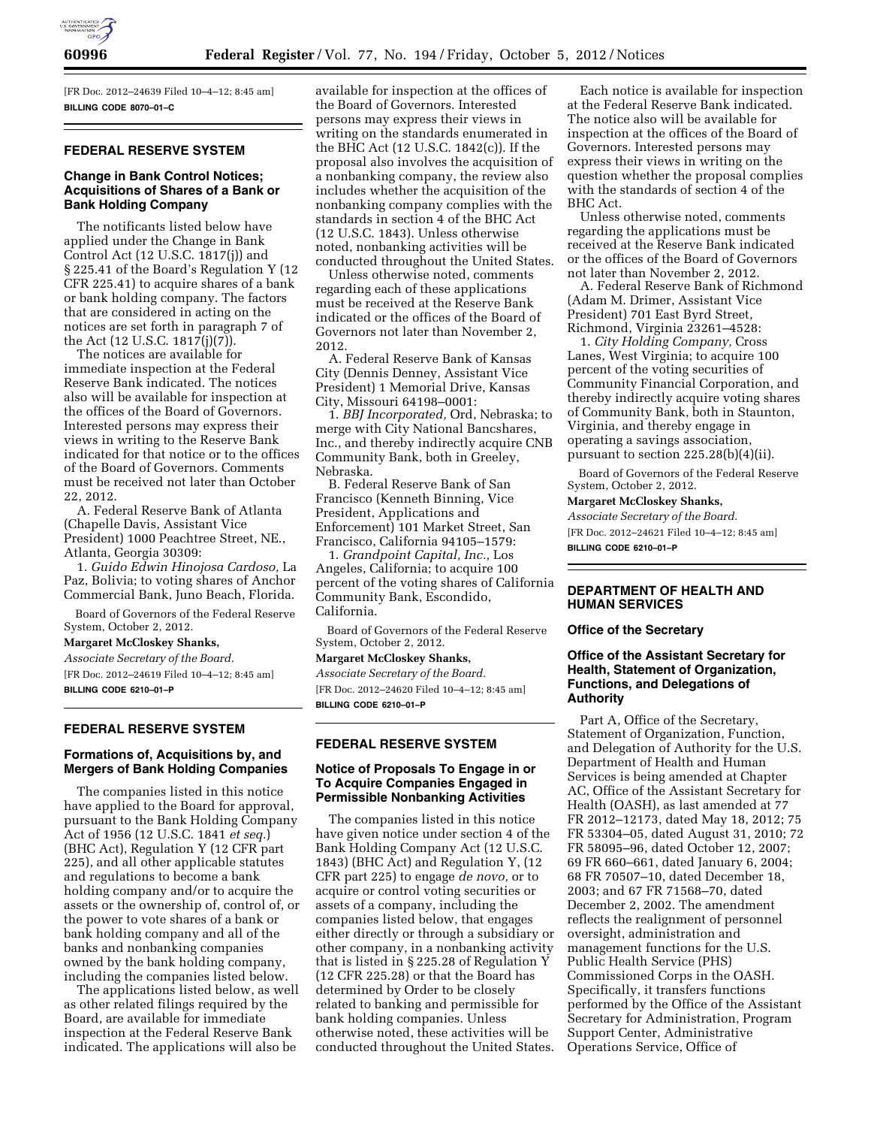

[FR Doc. 2012–24639 Filed 10–4–12; 8:45 am] **BILLING CODE 8070–01–C** 

## **FEDERAL RESERVE SYSTEM**

## **Change in Bank Control Notices; Acquisitions of Shares of a Bank or Bank Holding Company**

The notificants listed below have applied under the Change in Bank Control Act (12 U.S.C. 1817(j)) and § 225.41 of the Board's Regulation Y (12 CFR 225.41) to acquire shares of a bank or bank holding company. The factors that are considered in acting on the notices are set forth in paragraph 7 of the Act (12 U.S.C. 1817(j)(7)).

The notices are available for immediate inspection at the Federal Reserve Bank indicated. The notices also will be available for inspection at the offices of the Board of Governors. Interested persons may express their views in writing to the Reserve Bank indicated for that notice or to the offices of the Board of Governors. Comments must be received not later than October 22, 2012.

A. Federal Reserve Bank of Atlanta (Chapelle Davis, Assistant Vice President) 1000 Peachtree Street, NE., Atlanta, Georgia 30309:

1. *Guido Edwin Hinojosa Cardoso,* La Paz, Bolivia; to voting shares of Anchor Commercial Bank, Juno Beach, Florida.

Board of Governors of the Federal Reserve System, October 2, 2012.

#### **Margaret McCloskey Shanks,**

*Associate Secretary of the Board.*  [FR Doc. 2012–24619 Filed 10–4–12; 8:45 am] **BILLING CODE 6210–01–P** 

#### **FEDERAL RESERVE SYSTEM**

### **Formations of, Acquisitions by, and Mergers of Bank Holding Companies**

The companies listed in this notice have applied to the Board for approval, pursuant to the Bank Holding Company Act of 1956 (12 U.S.C. 1841 *et seq.*) (BHC Act), Regulation Y (12 CFR part 225), and all other applicable statutes and regulations to become a bank holding company and/or to acquire the assets or the ownership of, control of, or the power to vote shares of a bank or bank holding company and all of the banks and nonbanking companies owned by the bank holding company, including the companies listed below.

The applications listed below, as well as other related filings required by the Board, are available for immediate inspection at the Federal Reserve Bank indicated. The applications will also be

available for inspection at the offices of the Board of Governors. Interested persons may express their views in writing on the standards enumerated in the BHC Act (12 U.S.C. 1842(c)). If the proposal also involves the acquisition of a nonbanking company, the review also includes whether the acquisition of the nonbanking company complies with the standards in section 4 of the BHC Act (12 U.S.C. 1843). Unless otherwise noted, nonbanking activities will be conducted throughout the United States.

Unless otherwise noted, comments regarding each of these applications must be received at the Reserve Bank indicated or the offices of the Board of Governors not later than November 2, 2012.

A. Federal Reserve Bank of Kansas City (Dennis Denney, Assistant Vice President) 1 Memorial Drive, Kansas City, Missouri 64198–0001:

1. *BBJ Incorporated,* Ord, Nebraska; to merge with City National Bancshares, Inc., and thereby indirectly acquire CNB Community Bank, both in Greeley, Nebraska.

B. Federal Reserve Bank of San Francisco (Kenneth Binning, Vice President, Applications and Enforcement) 101 Market Street, San Francisco, California 94105–1579:

1. *Grandpoint Capital, Inc.,* Los Angeles, California; to acquire 100 percent of the voting shares of California Community Bank, Escondido, California.

Board of Governors of the Federal Reserve System, October 2, 2012.

**Margaret McCloskey Shanks,**  *Associate Secretary of the Board.*  [FR Doc. 2012–24620 Filed 10–4–12; 8:45 am] **BILLING CODE 6210–01–P** 

# **FEDERAL RESERVE SYSTEM**

### **Notice of Proposals To Engage in or To Acquire Companies Engaged in Permissible Nonbanking Activities**

The companies listed in this notice have given notice under section 4 of the Bank Holding Company Act (12 U.S.C. 1843) (BHC Act) and Regulation Y, (12 CFR part 225) to engage *de novo,* or to acquire or control voting securities or assets of a company, including the companies listed below, that engages either directly or through a subsidiary or other company, in a nonbanking activity that is listed in § 225.28 of Regulation Y (12 CFR 225.28) or that the Board has determined by Order to be closely related to banking and permissible for bank holding companies. Unless otherwise noted, these activities will be conducted throughout the United States.

Each notice is available for inspection at the Federal Reserve Bank indicated. The notice also will be available for inspection at the offices of the Board of Governors. Interested persons may express their views in writing on the question whether the proposal complies with the standards of section 4 of the BHC Act.

Unless otherwise noted, comments regarding the applications must be received at the Reserve Bank indicated or the offices of the Board of Governors not later than November 2, 2012.

A. Federal Reserve Bank of Richmond (Adam M. Drimer, Assistant Vice President) 701 East Byrd Street, Richmond, Virginia 23261–4528:

1. *City Holding Company,* Cross Lanes, West Virginia; to acquire 100 percent of the voting securities of Community Financial Corporation, and thereby indirectly acquire voting shares of Community Bank, both in Staunton, Virginia, and thereby engage in operating a savings association, pursuant to section 225.28(b)(4)(ii).

Board of Governors of the Federal Reserve System, October 2, 2012.

#### **Margaret McCloskey Shanks,**

*Associate Secretary of the Board.*  [FR Doc. 2012–24621 Filed 10–4–12; 8:45 am] **BILLING CODE 6210–01–P** 

#### **DEPARTMENT OF HEALTH AND HUMAN SERVICES**

**Office of the Secretary** 

## **Office of the Assistant Secretary for Health, Statement of Organization, Functions, and Delegations of Authority**

Part A, Office of the Secretary, Statement of Organization, Function, and Delegation of Authority for the U.S. Department of Health and Human Services is being amended at Chapter AC, Office of the Assistant Secretary for Health (OASH), as last amended at 77 FR 2012–12173, dated May 18, 2012; 75 FR 53304–05, dated August 31, 2010; 72 FR 58095–96, dated October 12, 2007; 69 FR 660–661, dated January 6, 2004; 68 FR 70507–10, dated December 18, 2003; and 67 FR 71568–70, dated December 2, 2002. The amendment reflects the realignment of personnel oversight, administration and management functions for the U.S. Public Health Service (PHS) Commissioned Corps in the OASH. Specifically, it transfers functions performed by the Office of the Assistant Secretary for Administration, Program Support Center, Administrative Operations Service, Office of